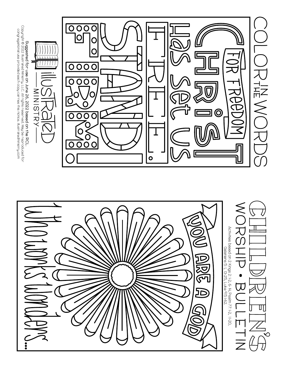